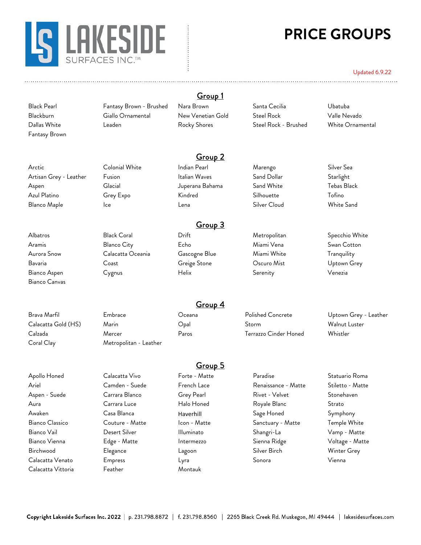

# **PRICE GROUPS**

#### Updated 6.9.22

Fantasy Brown

Arctic Colonial White Indian Pearl Marengo Silver Sea Artisan Grey - Leather Fusion Italian Waves Sand Dollar Starlight Aspen Glacial Juperana Bahama Sand White Tebas Black Azul Platino Grey Expo Kindred Silhouette Tofino Blanco Maple Ice Lena Silver Cloud White Sand

Bianco Canvas

Coral Clay Metropolitan - Leather

Calacatta Vittoria Feather Montauk

Black Pearl Fantasy Brown - Brushed Nara Brown Santa Cecilia Ubatuba Blackburn Giallo Ornamental New Venetian Gold Steel Rock Valle Nevado Dallas White Leaden Rocky Shores Steel Rock - Brushed White Ornamental

Group 1

Group 2

## Group 3

Aramis Blanco City Echo Miami Vena Swan Cotton Aurora Snow Calacatta Oceania Cascogne Blue Miami White Tranquility Bavaria Coast Greige Stone Oscuro Mist Uptown Grey Bianco Aspen Cygnus Helix Serenity Venezia

Albatros Black Coral Drift Metropolitan Specchio White

Brava Marfil Embrace Oceana Polished Concrete Uptown Grey - Leather Calacatta Gold (HS) Marin Opal Storm Walnut Luster Calzada Mercer Paros Terrazzo Cinder Honed Whistler

## Group 5

Group 4

Apollo Honed Calacatta Vivo Forte - Matte Paradise Statuario Roma Ariel Camden - Suede French Lace Renaissance - Matte Stiletto - Matte Aspen - Suede Carrara Blanco Grey Pearl Rivet - Velvet Stonehaven Aura Carrara Luce Halo Honed Royale Blanc Strato Awaken Casa Blanca Haverhill Sage Honed Symphony Bianco Classico Couture - Matte Icon - Matte Sanctuary - Matte Temple White Bianco Vail Desert Silver Illuminato Shangri-La Vamp - Matte Bianco Vienna Edge - Matte Intermezzo Sienna Ridge Voltage - Matte Birchwood Elegance Lagoon Silver Birch Winter Grey Calacatta Venato Empress Lyra Sonora Vienna